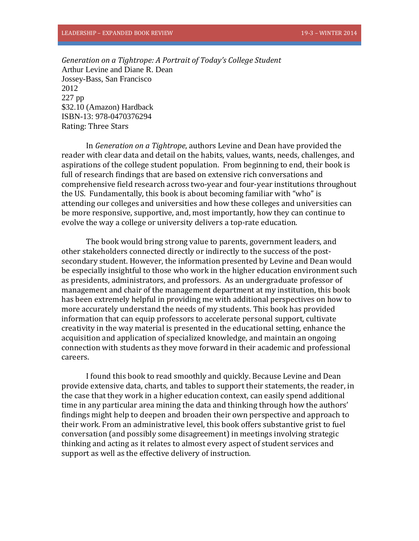*Generation on a Tightrope: A Portrait of Today's College Student* Arthur Levine and Diane R. Dean Jossey-Bass, San Francisco 2012 227 pp \$32.10 (Amazon) Hardback ISBN-13: 978-0470376294 Rating: Three Stars

In *Generation on a Tightrope*, authors Levine and Dean have provided the reader with clear data and detail on the habits, values, wants, needs, challenges, and aspirations of the college student population. From beginning to end, their book is full of research findings that are based on extensive rich conversations and comprehensive field research across two-year and four-year institutions throughout the US. Fundamentally, this book is about becoming familiar with "who" is attending our colleges and universities and how these colleges and universities can be more responsive, supportive, and, most importantly, how they can continue to evolve the way a college or university delivers a top-rate education.

The book would bring strong value to parents, government leaders, and other stakeholders connected directly or indirectly to the success of the postsecondary student. However, the information presented by Levine and Dean would be especially insightful to those who work in the higher education environment such as presidents, administrators, and professors. As an undergraduate professor of management and chair of the management department at my institution, this book has been extremely helpful in providing me with additional perspectives on how to more accurately understand the needs of my students. This book has provided information that can equip professors to accelerate personal support, cultivate creativity in the way material is presented in the educational setting, enhance the acquisition and application of specialized knowledge, and maintain an ongoing connection with students as they move forward in their academic and professional careers.

I found this book to read smoothly and quickly. Because Levine and Dean provide extensive data, charts, and tables to support their statements, the reader, in the case that they work in a higher education context, can easily spend additional time in any particular area mining the data and thinking through how the authors' findings might help to deepen and broaden their own perspective and approach to their work. From an administrative level, this book offers substantive grist to fuel conversation (and possibly some disagreement) in meetings involving strategic thinking and acting as it relates to almost every aspect of student services and support as well as the effective delivery of instruction.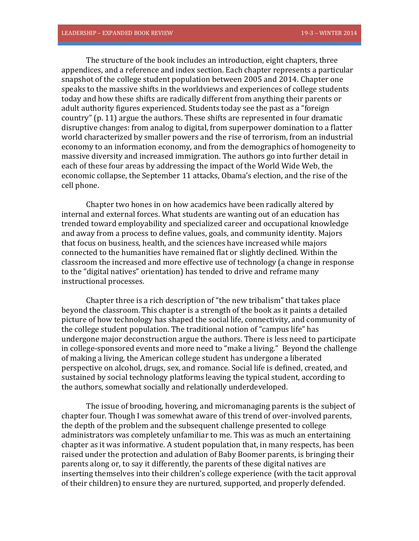The structure of the book includes an introduction, eight chapters, three appendices, and a reference and index section. Each chapter represents a particular snapshot of the college student population between 2005 and 2014. Chapter one speaks to the massive shifts in the worldviews and experiences of college students today and how these shifts are radically different from anything their parents or adult authority figures experienced. Students today see the past as a "foreign country" (p. 11) argue the authors. These shifts are represented in four dramatic disruptive changes: from analog to digital, from superpower domination to a flatter world characterized by smaller powers and the rise of terrorism, from an industrial economy to an information economy, and from the demographics of homogeneity to massive diversity and increased immigration. The authors go into further detail in each of these four areas by addressing the impact of the World Wide Web, the economic collapse, the September 11 attacks, Obama's election, and the rise of the cell phone.

Chapter two hones in on how academics have been radically altered by internal and external forces. What students are wanting out of an education has trended toward employability and specialized career and occupational knowledge and away from a process to define values, goals, and community identity. Majors that focus on business, health, and the sciences have increased while majors connected to the humanities have remained flat or slightly declined. Within the classroom the increased and more effective use of technology (a change in response to the "digital natives" orientation) has tended to drive and reframe many instructional processes.

Chapter three is a rich description of "the new tribalism" that takes place beyond the classroom. This chapter is a strength of the book as it paints a detailed picture of how technology has shaped the social life, connectivity, and community of the college student population. The traditional notion of "campus life" has undergone major deconstruction argue the authors. There is less need to participate in college-sponsored events and more need to "make a living." Beyond the challenge of making a living, the American college student has undergone a liberated perspective on alcohol, drugs, sex, and romance. Social life is defined, created, and sustained by social technology platforms leaving the typical student, according to the authors, somewhat socially and relationally underdeveloped.

The issue of brooding, hovering, and micromanaging parents is the subject of chapter four. Though I was somewhat aware of this trend of over-involved parents, the depth of the problem and the subsequent challenge presented to college administrators was completely unfamiliar to me. This was as much an entertaining chapter as it was informative. A student population that, in many respects, has been raised under the protection and adulation of Baby Boomer parents, is bringing their parents along or, to say it differently, the parents of these digital natives are inserting themselves into their children's college experience (with the tacit approval of their children) to ensure they are nurtured, supported, and properly defended.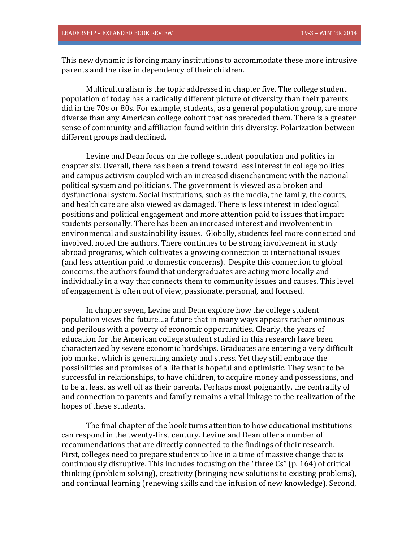This new dynamic is forcing many institutions to accommodate these more intrusive parents and the rise in dependency of their children.

Multiculturalism is the topic addressed in chapter five. The college student population of today has a radically different picture of diversity than their parents did in the 70s or 80s. For example, students, as a general population group, are more diverse than any American college cohort that has preceded them. There is a greater sense of community and affiliation found within this diversity. Polarization between different groups had declined.

Levine and Dean focus on the college student population and politics in chapter six. Overall, there has been a trend toward less interest in college politics and campus activism coupled with an increased disenchantment with the national political system and politicians. The government is viewed as a broken and dysfunctional system. Social institutions, such as the media, the family, the courts, and health care are also viewed as damaged. There is less interest in ideological positions and political engagement and more attention paid to issues that impact students personally. There has been an increased interest and involvement in environmental and sustainability issues. Globally, students feel more connected and involved, noted the authors. There continues to be strong involvement in study abroad programs, which cultivates a growing connection to international issues (and less attention paid to domestic concerns). Despite this connection to global concerns, the authors found that undergraduates are acting more locally and individually in a way that connects them to community issues and causes. This level of engagement is often out of view, passionate, personal, and focused.

In chapter seven, Levine and Dean explore how the college student population views the future…a future that in many ways appears rather ominous and perilous with a poverty of economic opportunities. Clearly, the years of education for the American college student studied in this research have been characterized by severe economic hardships. Graduates are entering a very difficult job market which is generating anxiety and stress. Yet they still embrace the possibilities and promises of a life that is hopeful and optimistic. They want to be successful in relationships, to have children, to acquire money and possessions, and to be at least as well off as their parents. Perhaps most poignantly, the centrality of and connection to parents and family remains a vital linkage to the realization of the hopes of these students.

The final chapter of the book turns attention to how educational institutions can respond in the twenty-first century. Levine and Dean offer a number of recommendations that are directly connected to the findings of their research. First, colleges need to prepare students to live in a time of massive change that is continuously disruptive. This includes focusing on the "three Cs" (p. 164) of critical thinking (problem solving), creativity (bringing new solutions to existing problems), and continual learning (renewing skills and the infusion of new knowledge). Second,